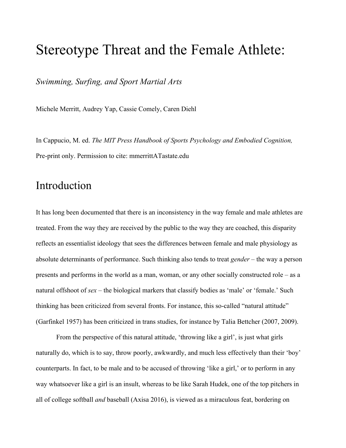## Stereotype Threat and the Female Athlete:

*Swimming, Surfing, and Sport Martial Arts*

Michele Merritt, Audrey Yap, Cassie Comely, Caren Diehl

In Cappucio, M. ed. *The MIT Press Handbook of Sports Psychology and Embodied Cognition,*  Pre-print only. Permission to cite: mmerrittATastate.edu

### Introduction

It has long been documented that there is an inconsistency in the way female and male athletes are treated. From the way they are received by the public to the way they are coached, this disparity reflects an essentialist ideology that sees the differences between female and male physiology as absolute determinants of performance. Such thinking also tends to treat *gender* – the way a person presents and performs in the world as a man, woman, or any other socially constructed role – as a natural offshoot of *sex –* the biological markers that classify bodies as 'male' or 'female.' Such thinking has been criticized from several fronts. For instance, this so-called "natural attitude" (Garfinkel 1957) has been criticized in trans studies, for instance by Talia Bettcher (2007, 2009).

From the perspective of this natural attitude, 'throwing like a girl', is just what girls naturally do, which is to say, throw poorly, awkwardly, and much less effectively than their 'boy' counterparts. In fact, to be male and to be accused of throwing 'like a girl,' or to perform in any way whatsoever like a girl is an insult, whereas to be like Sarah Hudek, one of the top pitchers in all of college softball *and* baseball (Axisa 2016), is viewed as a miraculous feat, bordering on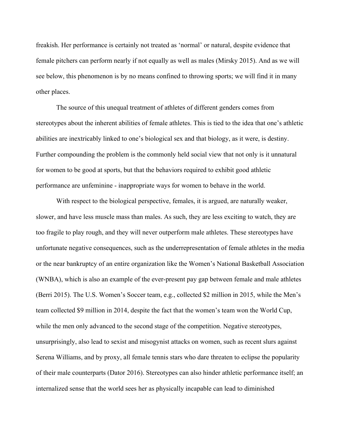freakish. Her performance is certainly not treated as 'normal' or natural, despite evidence that female pitchers can perform nearly if not equally as well as males (Mirsky 2015). And as we will see below, this phenomenon is by no means confined to throwing sports; we will find it in many other places.

The source of this unequal treatment of athletes of different genders comes from stereotypes about the inherent abilities of female athletes. This is tied to the idea that one's athletic abilities are inextricably linked to one's biological sex and that biology, as it were, is destiny. Further compounding the problem is the commonly held social view that not only is it unnatural for women to be good at sports, but that the behaviors required to exhibit good athletic performance are unfeminine - inappropriate ways for women to behave in the world.

With respect to the biological perspective, females, it is argued, are naturally weaker, slower, and have less muscle mass than males. As such, they are less exciting to watch, they are too fragile to play rough, and they will never outperform male athletes. These stereotypes have unfortunate negative consequences, such as the underrepresentation of female athletes in the media or the near bankruptcy of an entire organization like the Women's National Basketball Association (WNBA), which is also an example of the ever-present pay gap between female and male athletes (Berri 2015). The U.S. Women's Soccer team, e.g., collected \$2 million in 2015, while the Men's team collected \$9 million in 2014, despite the fact that the women's team won the World Cup, while the men only advanced to the second stage of the competition. Negative stereotypes, unsurprisingly, also lead to sexist and misogynist attacks on women, such as recent slurs against Serena Williams, and by proxy, all female tennis stars who dare threaten to eclipse the popularity of their male counterparts (Dator 2016). Stereotypes can also hinder athletic performance itself; an internalized sense that the world sees her as physically incapable can lead to diminished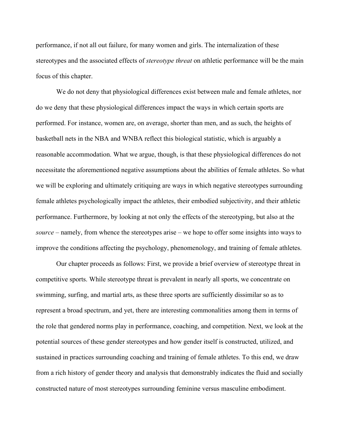performance, if not all out failure, for many women and girls. The internalization of these stereotypes and the associated effects of *stereotype threat* on athletic performance will be the main focus of this chapter.

We do not deny that physiological differences exist between male and female athletes, nor do we deny that these physiological differences impact the ways in which certain sports are performed. For instance, women are, on average, shorter than men, and as such, the heights of basketball nets in the NBA and WNBA reflect this biological statistic, which is arguably a reasonable accommodation. What we argue, though, is that these physiological differences do not necessitate the aforementioned negative assumptions about the abilities of female athletes. So what we will be exploring and ultimately critiquing are ways in which negative stereotypes surrounding female athletes psychologically impact the athletes, their embodied subjectivity, and their athletic performance. Furthermore, by looking at not only the effects of the stereotyping, but also at the *source* – namely, from whence the stereotypes arise – we hope to offer some insights into ways to improve the conditions affecting the psychology, phenomenology, and training of female athletes.

Our chapter proceeds as follows: First, we provide a brief overview of stereotype threat in competitive sports. While stereotype threat is prevalent in nearly all sports, we concentrate on swimming, surfing, and martial arts, as these three sports are sufficiently dissimilar so as to represent a broad spectrum, and yet, there are interesting commonalities among them in terms of the role that gendered norms play in performance, coaching, and competition. Next, we look at the potential sources of these gender stereotypes and how gender itself is constructed, utilized, and sustained in practices surrounding coaching and training of female athletes. To this end, we draw from a rich history of gender theory and analysis that demonstrably indicates the fluid and socially constructed nature of most stereotypes surrounding feminine versus masculine embodiment.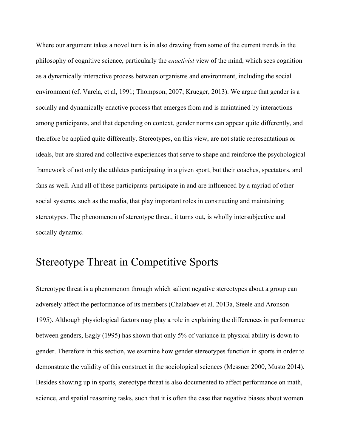Where our argument takes a novel turn is in also drawing from some of the current trends in the philosophy of cognitive science, particularly the *enactivist* view of the mind, which sees cognition as a dynamically interactive process between organisms and environment, including the social environment (cf. Varela, et al, 1991; Thompson, 2007; Krueger, 2013). We argue that gender is a socially and dynamically enactive process that emerges from and is maintained by interactions among participants, and that depending on context, gender norms can appear quite differently, and therefore be applied quite differently. Stereotypes, on this view, are not static representations or ideals, but are shared and collective experiences that serve to shape and reinforce the psychological framework of not only the athletes participating in a given sport, but their coaches, spectators, and fans as well. And all of these participants participate in and are influenced by a myriad of other social systems, such as the media, that play important roles in constructing and maintaining stereotypes. The phenomenon of stereotype threat, it turns out, is wholly intersubjective and socially dynamic.

### Stereotype Threat in Competitive Sports

Stereotype threat is a phenomenon through which salient negative stereotypes about a group can adversely affect the performance of its members (Chalabaev et al. 2013a, Steele and Aronson 1995). Although physiological factors may play a role in explaining the differences in performance between genders, Eagly (1995) has shown that only 5% of variance in physical ability is down to gender. Therefore in this section, we examine how gender stereotypes function in sports in order to demonstrate the validity of this construct in the sociological sciences (Messner 2000, Musto 2014). Besides showing up in sports, stereotype threat is also documented to affect performance on math, science, and spatial reasoning tasks, such that it is often the case that negative biases about women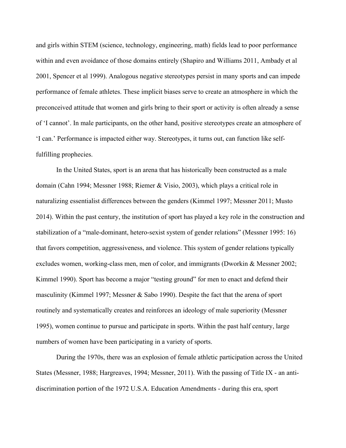and girls within STEM (science, technology, engineering, math) fields lead to poor performance within and even avoidance of those domains entirely (Shapiro and Williams 2011, Ambady et al 2001, Spencer et al 1999). Analogous negative stereotypes persist in many sports and can impede performance of female athletes. These implicit biases serve to create an atmosphere in which the preconceived attitude that women and girls bring to their sport or activity is often already a sense of 'I cannot'. In male participants, on the other hand, positive stereotypes create an atmosphere of 'I can.' Performance is impacted either way. Stereotypes, it turns out, can function like selffulfilling prophecies.

In the United States, sport is an arena that has historically been constructed as a male domain (Cahn 1994; Messner 1988; Riemer & Visio, 2003), which plays a critical role in naturalizing essentialist differences between the genders (Kimmel 1997; Messner 2011; Musto 2014). Within the past century, the institution of sport has played a key role in the construction and stabilization of a "male-dominant, hetero-sexist system of gender relations" (Messner 1995: 16) that favors competition, aggressiveness, and violence. This system of gender relations typically excludes women, working-class men, men of color, and immigrants (Dworkin & Messner 2002; Kimmel 1990). Sport has become a major "testing ground" for men to enact and defend their masculinity (Kimmel 1997; Messner & Sabo 1990). Despite the fact that the arena of sport routinely and systematically creates and reinforces an ideology of male superiority (Messner 1995), women continue to pursue and participate in sports. Within the past half century, large numbers of women have been participating in a variety of sports.

During the 1970s, there was an explosion of female athletic participation across the United States (Messner, 1988; Hargreaves, 1994; Messner, 2011). With the passing of Title IX - an antidiscrimination portion of the 1972 U.S.A. Education Amendments - during this era, sport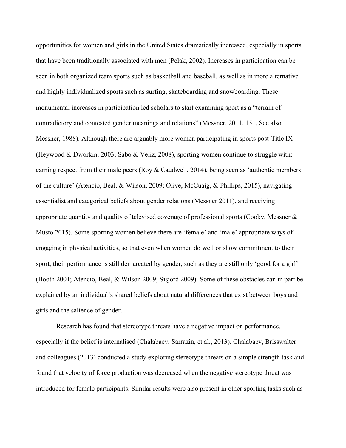opportunities for women and girls in the United States dramatically increased, especially in sports that have been traditionally associated with men (Pelak, 2002). Increases in participation can be seen in both organized team sports such as basketball and baseball, as well as in more alternative and highly individualized sports such as surfing, skateboarding and snowboarding. These monumental increases in participation led scholars to start examining sport as a "terrain of contradictory and contested gender meanings and relations" (Messner, 2011, 151, See also Messner, 1988). Although there are arguably more women participating in sports post-Title IX (Heywood & Dworkin, 2003; Sabo & Veliz, 2008), sporting women continue to struggle with: earning respect from their male peers (Roy & Caudwell, 2014), being seen as 'authentic members of the culture' (Atencio, Beal, & Wilson, 2009; Olive, McCuaig, & Phillips, 2015), navigating essentialist and categorical beliefs about gender relations (Messner 2011), and receiving appropriate quantity and quality of televised coverage of professional sports (Cooky, Messner & Musto 2015). Some sporting women believe there are 'female' and 'male' appropriate ways of engaging in physical activities, so that even when women do well or show commitment to their sport, their performance is still demarcated by gender, such as they are still only 'good for a girl' (Booth 2001; Atencio, Beal, & Wilson 2009; Sisjord 2009). Some of these obstacles can in part be explained by an individual's shared beliefs about natural differences that exist between boys and girls and the salience of gender.

Research has found that stereotype threats have a negative impact on performance, especially if the belief is internalised (Chalabaev, Sarrazin, et al., 2013). Chalabaev, Brisswalter and colleagues (2013) conducted a study exploring stereotype threats on a simple strength task and found that velocity of force production was decreased when the negative stereotype threat was introduced for female participants. Similar results were also present in other sporting tasks such as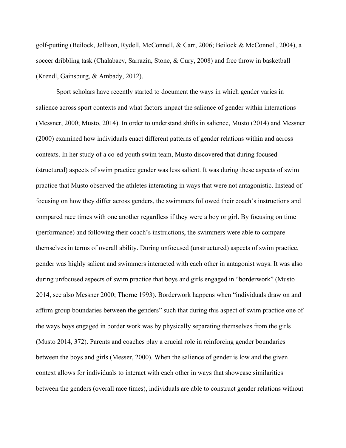golf-putting (Beilock, Jellison, Rydell, McConnell, & Carr, 2006; Beilock & McConnell, 2004), a soccer dribbling task (Chalabaev, Sarrazin, Stone, & Cury, 2008) and free throw in basketball (Krendl, Gainsburg, & Ambady, 2012).

Sport scholars have recently started to document the ways in which gender varies in salience across sport contexts and what factors impact the salience of gender within interactions (Messner, 2000; Musto, 2014). In order to understand shifts in salience, Musto (2014) and Messner (2000) examined how individuals enact different patterns of gender relations within and across contexts. In her study of a co-ed youth swim team, Musto discovered that during focused (structured) aspects of swim practice gender was less salient. It was during these aspects of swim practice that Musto observed the athletes interacting in ways that were not antagonistic. Instead of focusing on how they differ across genders, the swimmers followed their coach's instructions and compared race times with one another regardless if they were a boy or girl. By focusing on time (performance) and following their coach's instructions, the swimmers were able to compare themselves in terms of overall ability. During unfocused (unstructured) aspects of swim practice, gender was highly salient and swimmers interacted with each other in antagonist ways. It was also during unfocused aspects of swim practice that boys and girls engaged in "borderwork" (Musto 2014, see also Messner 2000; Thorne 1993). Borderwork happens when "individuals draw on and affirm group boundaries between the genders" such that during this aspect of swim practice one of the ways boys engaged in border work was by physically separating themselves from the girls (Musto 2014, 372). Parents and coaches play a crucial role in reinforcing gender boundaries between the boys and girls (Messer, 2000). When the salience of gender is low and the given context allows for individuals to interact with each other in ways that showcase similarities between the genders (overall race times), individuals are able to construct gender relations without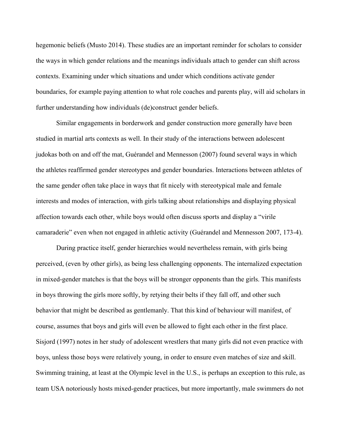hegemonic beliefs (Musto 2014). These studies are an important reminder for scholars to consider the ways in which gender relations and the meanings individuals attach to gender can shift across contexts. Examining under which situations and under which conditions activate gender boundaries, for example paying attention to what role coaches and parents play, will aid scholars in further understanding how individuals (de)construct gender beliefs.

Similar engagements in borderwork and gender construction more generally have been studied in martial arts contexts as well. In their study of the interactions between adolescent judokas both on and off the mat, Guérandel and Mennesson (2007) found several ways in which the athletes reaffirmed gender stereotypes and gender boundaries. Interactions between athletes of the same gender often take place in ways that fit nicely with stereotypical male and female interests and modes of interaction, with girls talking about relationships and displaying physical affection towards each other, while boys would often discuss sports and display a "virile camaraderie" even when not engaged in athletic activity (Guérandel and Mennesson 2007, 173-4).

During practice itself, gender hierarchies would nevertheless remain, with girls being perceived, (even by other girls), as being less challenging opponents. The internalized expectation in mixed-gender matches is that the boys will be stronger opponents than the girls. This manifests in boys throwing the girls more softly, by retying their belts if they fall off, and other such behavior that might be described as gentlemanly. That this kind of behaviour will manifest, of course, assumes that boys and girls will even be allowed to fight each other in the first place. Sisjord (1997) notes in her study of adolescent wrestlers that many girls did not even practice with boys, unless those boys were relatively young, in order to ensure even matches of size and skill. Swimming training, at least at the Olympic level in the U.S., is perhaps an exception to this rule, as team USA notoriously hosts mixed-gender practices, but more importantly, male swimmers do not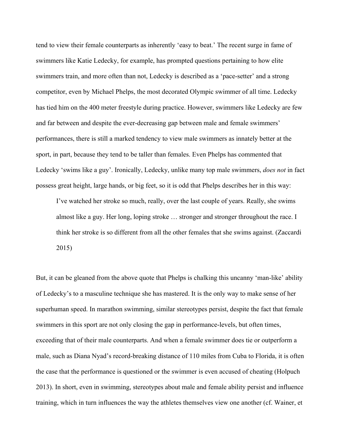tend to view their female counterparts as inherently 'easy to beat.' The recent surge in fame of swimmers like Katie Ledecky, for example, has prompted questions pertaining to how elite swimmers train, and more often than not, Ledecky is described as a 'pace-setter' and a strong competitor, even by Michael Phelps, the most decorated Olympic swimmer of all time. Ledecky has tied him on the 400 meter freestyle during practice. However, swimmers like Ledecky are few and far between and despite the ever-decreasing gap between male and female swimmers' performances, there is still a marked tendency to view male swimmers as innately better at the sport, in part, because they tend to be taller than females. Even Phelps has commented that Ledecky 'swims like a guy'. Ironically, Ledecky, unlike many top male swimmers, *does not* in fact possess great height, large hands, or big feet, so it is odd that Phelps describes her in this way:

I've watched her stroke so much, really, over the last couple of years. Really, she swims almost like a guy. Her long, loping stroke … stronger and stronger throughout the race. I think her stroke is so different from all the other females that she swims against. (Zaccardi 2015)

But, it can be gleaned from the above quote that Phelps is chalking this uncanny 'man-like' ability of Ledecky's to a masculine technique she has mastered. It is the only way to make sense of her superhuman speed. In marathon swimming, similar stereotypes persist, despite the fact that female swimmers in this sport are not only closing the gap in performance-levels, but often times, exceeding that of their male counterparts. And when a female swimmer does tie or outperform a male, such as Diana Nyad's record-breaking distance of 110 miles from Cuba to Florida, it is often the case that the performance is questioned or the swimmer is even accused of cheating (Holpuch 2013). In short, even in swimming, stereotypes about male and female ability persist and influence training, which in turn influences the way the athletes themselves view one another (cf. Wainer, et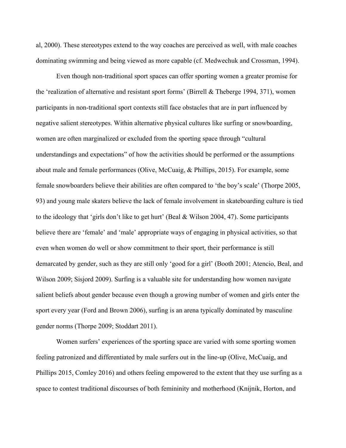al, 2000). These stereotypes extend to the way coaches are perceived as well, with male coaches dominating swimming and being viewed as more capable (cf. Medwechuk and Crossman, 1994).

Even though non-traditional sport spaces can offer sporting women a greater promise for the 'realization of alternative and resistant sport forms' (Birrell & Theberge 1994, 371), women participants in non-traditional sport contexts still face obstacles that are in part influenced by negative salient stereotypes. Within alternative physical cultures like surfing or snowboarding, women are often marginalized or excluded from the sporting space through "cultural understandings and expectations" of how the activities should be performed or the assumptions about male and female performances (Olive, McCuaig, & Phillips, 2015). For example, some female snowboarders believe their abilities are often compared to 'the boy's scale' (Thorpe 2005, 93) and young male skaters believe the lack of female involvement in skateboarding culture is tied to the ideology that 'girls don't like to get hurt' (Beal & Wilson 2004, 47). Some participants believe there are 'female' and 'male' appropriate ways of engaging in physical activities, so that even when women do well or show commitment to their sport, their performance is still demarcated by gender, such as they are still only 'good for a girl' (Booth 2001; Atencio, Beal, and Wilson 2009; Sisjord 2009). Surfing is a valuable site for understanding how women navigate salient beliefs about gender because even though a growing number of women and girls enter the sport every year (Ford and Brown 2006), surfing is an arena typically dominated by masculine gender norms (Thorpe 2009; Stoddart 2011).

Women surfers' experiences of the sporting space are varied with some sporting women feeling patronized and differentiated by male surfers out in the line-up (Olive, McCuaig, and Phillips 2015, Comley 2016) and others feeling empowered to the extent that they use surfing as a space to contest traditional discourses of both femininity and motherhood (Knijnik, Horton, and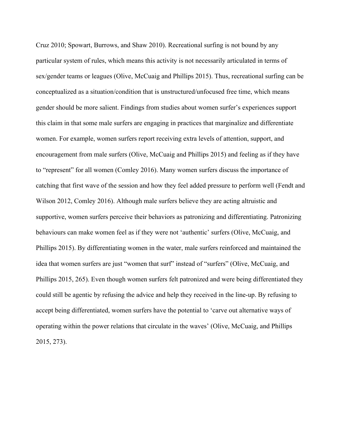Cruz 2010; Spowart, Burrows, and Shaw 2010). Recreational surfing is not bound by any particular system of rules, which means this activity is not necessarily articulated in terms of sex/gender teams or leagues (Olive, McCuaig and Phillips 2015). Thus, recreational surfing can be conceptualized as a situation/condition that is unstructured/unfocused free time, which means gender should be more salient. Findings from studies about women surfer's experiences support this claim in that some male surfers are engaging in practices that marginalize and differentiate women. For example, women surfers report receiving extra levels of attention, support, and encouragement from male surfers (Olive, McCuaig and Phillips 2015) and feeling as if they have to "represent" for all women (Comley 2016). Many women surfers discuss the importance of catching that first wave of the session and how they feel added pressure to perform well (Fendt and Wilson 2012, Comley 2016). Although male surfers believe they are acting altruistic and supportive, women surfers perceive their behaviors as patronizing and differentiating. Patronizing behaviours can make women feel as if they were not 'authentic' surfers (Olive, McCuaig, and Phillips 2015). By differentiating women in the water, male surfers reinforced and maintained the idea that women surfers are just "women that surf" instead of "surfers" (Olive, McCuaig, and Phillips 2015, 265). Even though women surfers felt patronized and were being differentiated they could still be agentic by refusing the advice and help they received in the line-up. By refusing to accept being differentiated, women surfers have the potential to 'carve out alternative ways of operating within the power relations that circulate in the waves' (Olive, McCuaig, and Phillips 2015, 273).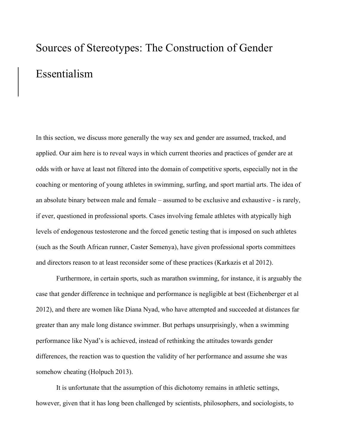## Sources of Stereotypes: The Construction of Gender Essentialism

In this section, we discuss more generally the way sex and gender are assumed, tracked, and applied. Our aim here is to reveal ways in which current theories and practices of gender are at odds with or have at least not filtered into the domain of competitive sports, especially not in the coaching or mentoring of young athletes in swimming, surfing, and sport martial arts. The idea of an absolute binary between male and female – assumed to be exclusive and exhaustive - is rarely, if ever, questioned in professional sports. Cases involving female athletes with atypically high levels of endogenous testosterone and the forced genetic testing that is imposed on such athletes (such as the South African runner, Caster Semenya), have given professional sports committees and directors reason to at least reconsider some of these practices (Karkazis et al 2012).

Furthermore, in certain sports, such as marathon swimming, for instance, it is arguably the case that gender difference in technique and performance is negligible at best (Eichenberger et al 2012), and there are women like Diana Nyad, who have attempted and succeeded at distances far greater than any male long distance swimmer. But perhaps unsurprisingly, when a swimming performance like Nyad's is achieved, instead of rethinking the attitudes towards gender differences, the reaction was to question the validity of her performance and assume she was somehow cheating (Holpuch 2013).

It is unfortunate that the assumption of this dichotomy remains in athletic settings, however, given that it has long been challenged by scientists, philosophers, and sociologists, to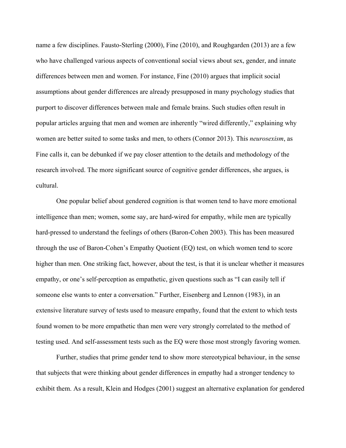name a few disciplines. Fausto-Sterling (2000), Fine (2010), and Roughgarden (2013) are a few who have challenged various aspects of conventional social views about sex, gender, and innate differences between men and women. For instance, Fine (2010) argues that implicit social assumptions about gender differences are already presupposed in many psychology studies that purport to discover differences between male and female brains. Such studies often result in popular articles arguing that men and women are inherently "wired differently," explaining why women are better suited to some tasks and men, to others (Connor 2013). This *neurosexism*, as Fine calls it, can be debunked if we pay closer attention to the details and methodology of the research involved. The more significant source of cognitive gender differences, she argues, is cultural.

One popular belief about gendered cognition is that women tend to have more emotional intelligence than men; women, some say, are hard-wired for empathy, while men are typically hard-pressed to understand the feelings of others (Baron-Cohen 2003). This has been measured through the use of Baron-Cohen's Empathy Quotient (EQ) test, on which women tend to score higher than men. One striking fact, however, about the test, is that it is unclear whether it measures empathy, or one's self-perception as empathetic, given questions such as "I can easily tell if someone else wants to enter a conversation." Further, Eisenberg and Lennon (1983), in an extensive literature survey of tests used to measure empathy, found that the extent to which tests found women to be more empathetic than men were very strongly correlated to the method of testing used. And self-assessment tests such as the EQ were those most strongly favoring women.

Further, studies that prime gender tend to show more stereotypical behaviour, in the sense that subjects that were thinking about gender differences in empathy had a stronger tendency to exhibit them. As a result, Klein and Hodges (2001) suggest an alternative explanation for gendered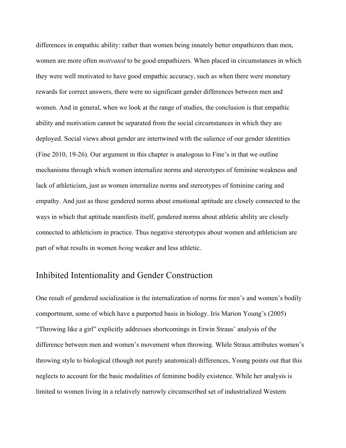differences in empathic ability: rather than women being innately better empathizers than men, women are more often *motivated* to be good empathizers. When placed in circumstances in which they were well motivated to have good empathic accuracy, such as when there were monetary rewards for correct answers, there were no significant gender differences between men and women. And in general, when we look at the range of studies, the conclusion is that empathic ability and motivation cannot be separated from the social circumstances in which they are deployed. Social views about gender are intertwined with the salience of our gender identities (Fine 2010, 19-26). Our argument in this chapter is analogous to Fine's in that we outline mechanisms through which women internalize norms and stereotypes of feminine weakness and lack of athleticism, just as women internalize norms and stereotypes of feminine caring and empathy. And just as these gendered norms about emotional aptitude are closely connected to the ways in which that aptitude manifests itself, gendered norms about athletic ability are closely connected to athleticism in practice. Thus negative stereotypes about women and athleticism are part of what results in women *being* weaker and less athletic.

#### Inhibited Intentionality and Gender Construction

One result of gendered socialization is the internalization of norms for men's and women's bodily comportment, some of which have a purported basis in biology. Iris Marion Young's (2005) "Throwing like a girl" explicitly addresses shortcomings in Erwin Straus' analysis of the difference between men and women's movement when throwing. While Straus attributes women's throwing style to biological (though not purely anatomical) differences, Young points out that this neglects to account for the basic modalities of feminine bodily existence. While her analysis is limited to women living in a relatively narrowly circumscribed set of industrialized Western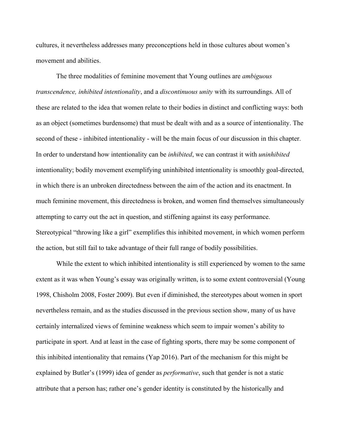cultures, it nevertheless addresses many preconceptions held in those cultures about women's movement and abilities.

The three modalities of feminine movement that Young outlines are *ambiguous transcendence, inhibited intentionality*, and a *discontinuous unity* with its surroundings. All of these are related to the idea that women relate to their bodies in distinct and conflicting ways: both as an object (sometimes burdensome) that must be dealt with and as a source of intentionality. The second of these - inhibited intentionality - will be the main focus of our discussion in this chapter. In order to understand how intentionality can be *inhibited*, we can contrast it with *uninhibited* intentionality; bodily movement exemplifying uninhibited intentionality is smoothly goal-directed, in which there is an unbroken directedness between the aim of the action and its enactment. In much feminine movement, this directedness is broken, and women find themselves simultaneously attempting to carry out the act in question, and stiffening against its easy performance. Stereotypical "throwing like a girl" exemplifies this inhibited movement, in which women perform the action, but still fail to take advantage of their full range of bodily possibilities.

While the extent to which inhibited intentionality is still experienced by women to the same extent as it was when Young's essay was originally written, is to some extent controversial (Young 1998, Chisholm 2008, Foster 2009). But even if diminished, the stereotypes about women in sport nevertheless remain, and as the studies discussed in the previous section show, many of us have certainly internalized views of feminine weakness which seem to impair women's ability to participate in sport. And at least in the case of fighting sports, there may be some component of this inhibited intentionality that remains (Yap 2016). Part of the mechanism for this might be explained by Butler's (1999) idea of gender as *performative*, such that gender is not a static attribute that a person has; rather one's gender identity is constituted by the historically and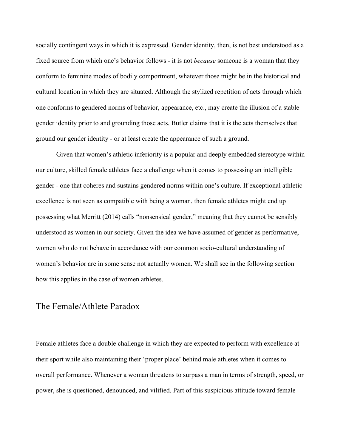socially contingent ways in which it is expressed. Gender identity, then, is not best understood as a fixed source from which one's behavior follows - it is not *because* someone is a woman that they conform to feminine modes of bodily comportment, whatever those might be in the historical and cultural location in which they are situated. Although the stylized repetition of acts through which one conforms to gendered norms of behavior, appearance, etc., may create the illusion of a stable gender identity prior to and grounding those acts, Butler claims that it is the acts themselves that ground our gender identity - or at least create the appearance of such a ground.

Given that women's athletic inferiority is a popular and deeply embedded stereotype within our culture, skilled female athletes face a challenge when it comes to possessing an intelligible gender - one that coheres and sustains gendered norms within one's culture. If exceptional athletic excellence is not seen as compatible with being a woman, then female athletes might end up possessing what Merritt (2014) calls "nonsensical gender," meaning that they cannot be sensibly understood as women in our society. Given the idea we have assumed of gender as performative, women who do not behave in accordance with our common socio-cultural understanding of women's behavior are in some sense not actually women. We shall see in the following section how this applies in the case of women athletes.

#### The Female/Athlete Paradox

Female athletes face a double challenge in which they are expected to perform with excellence at their sport while also maintaining their 'proper place' behind male athletes when it comes to overall performance. Whenever a woman threatens to surpass a man in terms of strength, speed, or power, she is questioned, denounced, and vilified. Part of this suspicious attitude toward female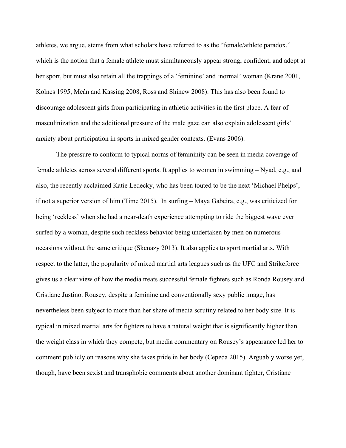athletes, we argue, stems from what scholars have referred to as the "female/athlete paradox," which is the notion that a female athlete must simultaneously appear strong, confident, and adept at her sport, but must also retain all the trappings of a 'feminine' and 'normal' woman (Krane 2001, Kolnes 1995, Meân and Kassing 2008, Ross and Shinew 2008). This has also been found to discourage adolescent girls from participating in athletic activities in the first place. A fear of masculinization and the additional pressure of the male gaze can also explain adolescent girls' anxiety about participation in sports in mixed gender contexts. (Evans 2006).

The pressure to conform to typical norms of femininity can be seen in media coverage of female athletes across several different sports. It applies to women in swimming – Nyad, e.g., and also, the recently acclaimed Katie Ledecky, who has been touted to be the next 'Michael Phelps', if not a superior version of him (Time 2015). In surfing – Maya Gabeira, e.g., was criticized for being 'reckless' when she had a near-death experience attempting to ride the biggest wave ever surfed by a woman, despite such reckless behavior being undertaken by men on numerous occasions without the same critique (Skenazy 2013). It also applies to sport martial arts. With respect to the latter, the popularity of mixed martial arts leagues such as the UFC and Strikeforce gives us a clear view of how the media treats successful female fighters such as Ronda Rousey and Cristiane Justino. Rousey, despite a feminine and conventionally sexy public image, has nevertheless been subject to more than her share of media scrutiny related to her body size. It is typical in mixed martial arts for fighters to have a natural weight that is significantly higher than the weight class in which they compete, but media commentary on Rousey's appearance led her to comment publicly on reasons why she takes pride in her body (Cepeda 2015). Arguably worse yet, though, have been sexist and transphobic comments about another dominant fighter, Cristiane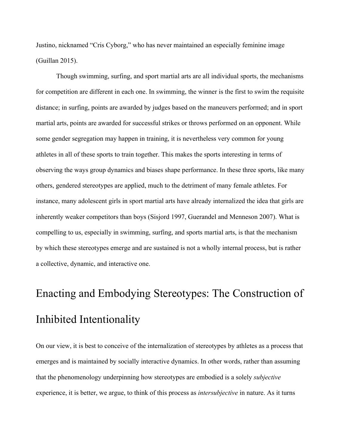Justino, nicknamed "Cris Cyborg," who has never maintained an especially feminine image (Guillan 2015).

Though swimming, surfing, and sport martial arts are all individual sports, the mechanisms for competition are different in each one. In swimming, the winner is the first to swim the requisite distance; in surfing, points are awarded by judges based on the maneuvers performed; and in sport martial arts, points are awarded for successful strikes or throws performed on an opponent. While some gender segregation may happen in training, it is nevertheless very common for young athletes in all of these sports to train together. This makes the sports interesting in terms of observing the ways group dynamics and biases shape performance. In these three sports, like many others, gendered stereotypes are applied, much to the detriment of many female athletes. For instance, many adolescent girls in sport martial arts have already internalized the idea that girls are inherently weaker competitors than boys (Sisjord 1997, Guerandel and Menneson 2007). What is compelling to us, especially in swimming, surfing, and sports martial arts, is that the mechanism by which these stereotypes emerge and are sustained is not a wholly internal process, but is rather a collective, dynamic, and interactive one.

# Enacting and Embodying Stereotypes: The Construction of Inhibited Intentionality

On our view, it is best to conceive of the internalization of stereotypes by athletes as a process that emerges and is maintained by socially interactive dynamics. In other words, rather than assuming that the phenomenology underpinning how stereotypes are embodied is a solely *subjective*  experience, it is better, we argue, to think of this process as *intersubjective* in nature. As it turns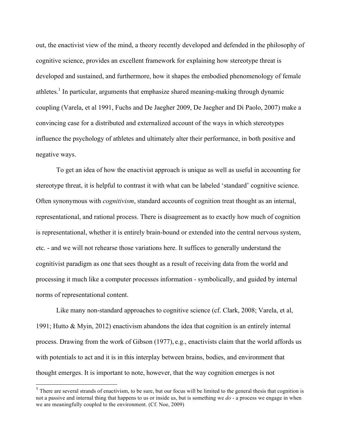out, the enactivist view of the mind, a theory recently developed and defended in the philosophy of cognitive science, provides an excellent framework for explaining how stereotype threat is developed and sustained, and furthermore, how it shapes the embodied phenomenology of female athletes.<sup>1</sup> In particular, arguments that emphasize shared meaning-making through dynamic coupling (Varela, et al 1991, Fuchs and De Jaegher 2009, De Jaegher and Di Paolo, 2007) make a convincing case for a distributed and externalized account of the ways in which stereotypes influence the psychology of athletes and ultimately alter their performance, in both positive and negative ways.

To get an idea of how the enactivist approach is unique as well as useful in accounting for stereotype threat, it is helpful to contrast it with what can be labeled 'standard' cognitive science. Often synonymous with *cognitivism*, standard accounts of cognition treat thought as an internal, representational, and rational process. There is disagreement as to exactly how much of cognition is representational, whether it is entirely brain-bound or extended into the central nervous system, etc. - and we will not rehearse those variations here. It suffices to generally understand the cognitivist paradigm as one that sees thought as a result of receiving data from the world and processing it much like a computer processes information - symbolically, and guided by internal norms of representational content.

Like many non-standard approaches to cognitive science (cf. Clark, 2008; Varela, et al, 1991; Hutto & Myin, 2012) enactivism abandons the idea that cognition is an entirely internal process. Drawing from the work of Gibson (1977), e.g., enactivists claim that the world affords us with potentials to act and it is in this interplay between brains, bodies, and environment that thought emerges. It is important to note, however, that the way cognition emerges is not

 $<sup>1</sup>$  There are several strands of enactivism, to be sure, but our focus will be limited to the general thesis that cognition is</sup> not a passive and internal thing that happens to us or inside us, but is something we *do* - a process we engage in when we are meaningfully coupled to the environment. (Cf. Noe, 2009)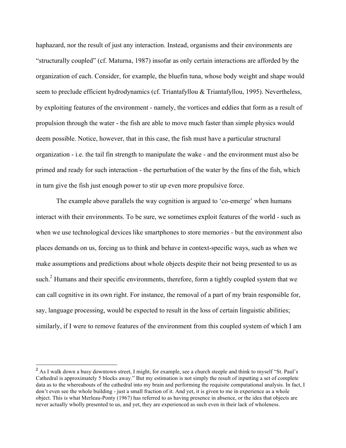haphazard, nor the result of just any interaction. Instead, organisms and their environments are "structurally coupled" (cf. Maturna, 1987) insofar as only certain interactions are afforded by the organization of each. Consider, for example, the bluefin tuna, whose body weight and shape would seem to preclude efficient hydrodynamics (cf. Triantafyllou & Triantafyllou, 1995). Nevertheless, by exploiting features of the environment - namely, the vortices and eddies that form as a result of propulsion through the water - the fish are able to move much faster than simple physics would deem possible. Notice, however, that in this case, the fish must have a particular structural organization - i.e. the tail fin strength to manipulate the wake - and the environment must also be primed and ready for such interaction - the perturbation of the water by the fins of the fish, which in turn give the fish just enough power to stir up even more propulsive force.

The example above parallels the way cognition is argued to 'co-emerge' when humans interact with their environments. To be sure, we sometimes exploit features of the world - such as when we use technological devices like smartphones to store memories - but the environment also places demands on us, forcing us to think and behave in context-specific ways, such as when we make assumptions and predictions about whole objects despite their not being presented to us as such.<sup>2</sup> Humans and their specific environments, therefore, form a tightly coupled system that we can call cognitive in its own right. For instance, the removal of a part of my brain responsible for, say, language processing, would be expected to result in the loss of certain linguistic abilities; similarly, if I were to remove features of the environment from this coupled system of which I am

<sup>&</sup>lt;sup>2</sup> As I walk down a busy downtown street, I might, for example, see a church steeple and think to myself "St. Paul's Cathedral is approximately 5 blocks away." But my estimation is not simply the result of inputting a set of complete data as to the whereabouts of the cathedral into my brain and performing the requisite computational analysis. In fact, I don't even see the whole building - just a small fraction of it. And yet, it is given to me in experience as a whole object. This is what Merleau-Ponty (1967) has referred to as having presence in absence, or the idea that objects are never actually wholly presented to us, and yet, they are experienced as such even in their lack of wholeness.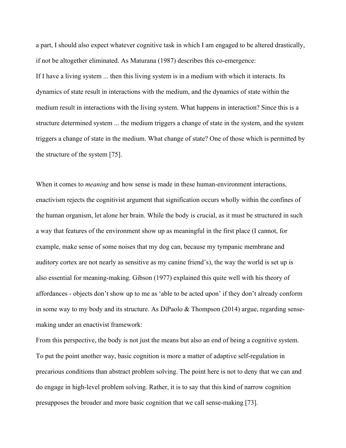a part, I should also expect whatever cognitive task in which I am engaged to be altered drastically, if not be altogether eliminated. As Maturana (1987) describes this co-emergence: If I have a living system ... then this living system is in a medium with which it interacts. Its dynamics of state result in interactions with the medium, and the dynamics of state within the medium result in interactions with the living system. What happens in interaction? Since this is a structure determined system ... the medium triggers a change of state in the system, and the system triggers a change of state in the medium. What change of state? One of those which is permitted by the structure of the system [75].

When it comes to *meaning* and how sense is made in these human-environment interactions, enactivism rejects the cognitivist argument that signification occurs wholly within the confines of the human organism, let alone her brain. While the body is crucial, as it must be structured in such a way that features of the environment show up as meaningful in the first place (I cannot, for example, make sense of some noises that my dog can, because my tympanic membrane and auditory cortex are not nearly as sensitive as my canine friend's), the way the world is set up is also essential for meaning-making. Gibson (1977) explained this quite well with his theory of affordances - objects don't show up to me as 'able to be acted upon' if they don't already conform in some way to my body and its structure. As DiPaolo  $\&$  Thompson (2014) argue, regarding sensemaking under an enactivist framework:

From this perspective, the body is not just the means but also an end of being a cognitive system. To put the point another way, basic cognition is more a matter of adaptive self-regulation in precarious conditions than abstract problem solving. The point here is not to deny that we can and do engage in high-level problem solving. Rather, it is to say that this kind of narrow cognition presupposes the broader and more basic cognition that we call sense-making [73].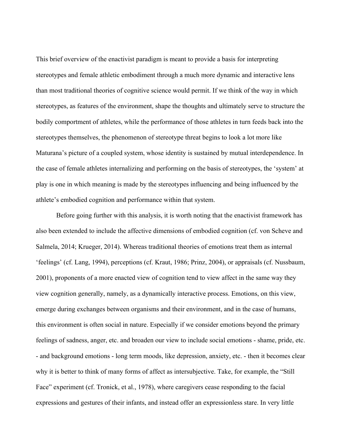This brief overview of the enactivist paradigm is meant to provide a basis for interpreting stereotypes and female athletic embodiment through a much more dynamic and interactive lens than most traditional theories of cognitive science would permit. If we think of the way in which stereotypes, as features of the environment, shape the thoughts and ultimately serve to structure the bodily comportment of athletes, while the performance of those athletes in turn feeds back into the stereotypes themselves, the phenomenon of stereotype threat begins to look a lot more like Maturana's picture of a coupled system, whose identity is sustained by mutual interdependence. In the case of female athletes internalizing and performing on the basis of stereotypes, the 'system' at play is one in which meaning is made by the stereotypes influencing and being influenced by the athlete's embodied cognition and performance within that system.

Before going further with this analysis, it is worth noting that the enactivist framework has also been extended to include the affective dimensions of embodied cognition (cf. von Scheve and Salmela, 2014; Krueger, 2014). Whereas traditional theories of emotions treat them as internal 'feelings' (cf. Lang, 1994), perceptions (cf. Kraut, 1986; Prinz, 2004), or appraisals (cf. Nussbaum, 2001), proponents of a more enacted view of cognition tend to view affect in the same way they view cognition generally, namely, as a dynamically interactive process. Emotions, on this view, emerge during exchanges between organisms and their environment, and in the case of humans, this environment is often social in nature. Especially if we consider emotions beyond the primary feelings of sadness, anger, etc. and broaden our view to include social emotions - shame, pride, etc. - and background emotions - long term moods, like depression, anxiety, etc. - then it becomes clear why it is better to think of many forms of affect as intersubjective. Take, for example, the "Still Face" experiment (cf. Tronick, et al., 1978), where caregivers cease responding to the facial expressions and gestures of their infants, and instead offer an expressionless stare. In very little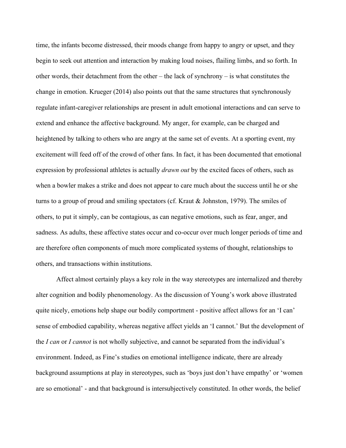time, the infants become distressed, their moods change from happy to angry or upset, and they begin to seek out attention and interaction by making loud noises, flailing limbs, and so forth. In other words, their detachment from the other – the lack of synchrony – is what constitutes the change in emotion. Krueger (2014) also points out that the same structures that synchronously regulate infant-caregiver relationships are present in adult emotional interactions and can serve to extend and enhance the affective background. My anger, for example, can be charged and heightened by talking to others who are angry at the same set of events. At a sporting event, my excitement will feed off of the crowd of other fans. In fact, it has been documented that emotional expression by professional athletes is actually *drawn out* by the excited faces of others, such as when a bowler makes a strike and does not appear to care much about the success until he or she turns to a group of proud and smiling spectators (cf. Kraut & Johnston, 1979). The smiles of others, to put it simply, can be contagious, as can negative emotions, such as fear, anger, and sadness. As adults, these affective states occur and co-occur over much longer periods of time and are therefore often components of much more complicated systems of thought, relationships to others, and transactions within institutions.

Affect almost certainly plays a key role in the way stereotypes are internalized and thereby alter cognition and bodily phenomenology. As the discussion of Young's work above illustrated quite nicely, emotions help shape our bodily comportment - positive affect allows for an 'I can' sense of embodied capability, whereas negative affect yields an 'I cannot.' But the development of the *I can* or *I cannot* is not wholly subjective, and cannot be separated from the individual's environment. Indeed, as Fine's studies on emotional intelligence indicate, there are already background assumptions at play in stereotypes, such as 'boys just don't have empathy' or 'women are so emotional' - and that background is intersubjectively constituted. In other words, the belief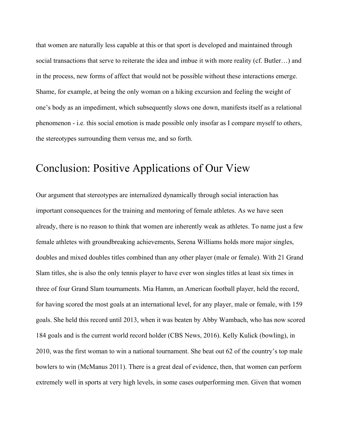that women are naturally less capable at this or that sport is developed and maintained through social transactions that serve to reiterate the idea and imbue it with more reality (cf. Butler…) and in the process, new forms of affect that would not be possible without these interactions emerge. Shame, for example, at being the only woman on a hiking excursion and feeling the weight of one's body as an impediment, which subsequently slows one down, manifests itself as a relational phenomenon - i.e. this social emotion is made possible only insofar as I compare myself to others, the stereotypes surrounding them versus me, and so forth.

## Conclusion: Positive Applications of Our View

Our argument that stereotypes are internalized dynamically through social interaction has important consequences for the training and mentoring of female athletes. As we have seen already, there is no reason to think that women are inherently weak as athletes. To name just a few female athletes with groundbreaking achievements, Serena Williams holds more major singles, doubles and mixed doubles titles combined than any other player (male or female). With 21 Grand Slam titles, she is also the only tennis player to have ever won singles titles at least six times in three of four Grand Slam tournaments. Mia Hamm, an American football player, held the record, for having scored the most goals at an international level, for any player, male or female, with 159 goals. She held this record until 2013, when it was beaten by Abby Wambach, who has now scored 184 goals and is the current world record holder (CBS News, 2016). Kelly Kulick (bowling), in 2010, was the first woman to win a national tournament. She beat out 62 of the country's top male bowlers to win (McManus 2011). There is a great deal of evidence, then, that women can perform extremely well in sports at very high levels, in some cases outperforming men. Given that women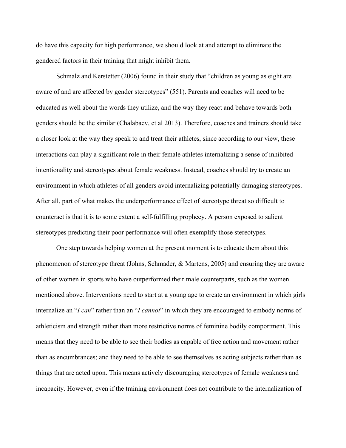do have this capacity for high performance, we should look at and attempt to eliminate the gendered factors in their training that might inhibit them.

Schmalz and Kerstetter (2006) found in their study that "children as young as eight are aware of and are affected by gender stereotypes" (551). Parents and coaches will need to be educated as well about the words they utilize, and the way they react and behave towards both genders should be the similar (Chalabaev, et al 2013). Therefore, coaches and trainers should take a closer look at the way they speak to and treat their athletes, since according to our view, these interactions can play a significant role in their female athletes internalizing a sense of inhibited intentionality and stereotypes about female weakness. Instead, coaches should try to create an environment in which athletes of all genders avoid internalizing potentially damaging stereotypes. After all, part of what makes the underperformance effect of stereotype threat so difficult to counteract is that it is to some extent a self-fulfilling prophecy. A person exposed to salient stereotypes predicting their poor performance will often exemplify those stereotypes.

One step towards helping women at the present moment is to educate them about this phenomenon of stereotype threat (Johns, Schmader, & Martens, 2005) and ensuring they are aware of other women in sports who have outperformed their male counterparts, such as the women mentioned above. Interventions need to start at a young age to create an environment in which girls internalize an "*I can*" rather than an "*I cannot*" in which they are encouraged to embody norms of athleticism and strength rather than more restrictive norms of feminine bodily comportment. This means that they need to be able to see their bodies as capable of free action and movement rather than as encumbrances; and they need to be able to see themselves as acting subjects rather than as things that are acted upon. This means actively discouraging stereotypes of female weakness and incapacity. However, even if the training environment does not contribute to the internalization of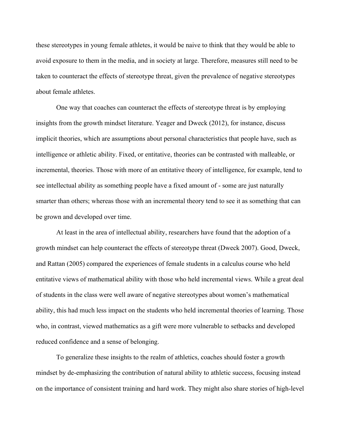these stereotypes in young female athletes, it would be naive to think that they would be able to avoid exposure to them in the media, and in society at large. Therefore, measures still need to be taken to counteract the effects of stereotype threat, given the prevalence of negative stereotypes about female athletes.

One way that coaches can counteract the effects of stereotype threat is by employing insights from the growth mindset literature. Yeager and Dweck (2012), for instance, discuss implicit theories, which are assumptions about personal characteristics that people have, such as intelligence or athletic ability. Fixed, or entitative, theories can be contrasted with malleable, or incremental, theories. Those with more of an entitative theory of intelligence, for example, tend to see intellectual ability as something people have a fixed amount of - some are just naturally smarter than others; whereas those with an incremental theory tend to see it as something that can be grown and developed over time.

At least in the area of intellectual ability, researchers have found that the adoption of a growth mindset can help counteract the effects of stereotype threat (Dweck 2007). Good, Dweck, and Rattan (2005) compared the experiences of female students in a calculus course who held entitative views of mathematical ability with those who held incremental views. While a great deal of students in the class were well aware of negative stereotypes about women's mathematical ability, this had much less impact on the students who held incremental theories of learning. Those who, in contrast, viewed mathematics as a gift were more vulnerable to setbacks and developed reduced confidence and a sense of belonging.

To generalize these insights to the realm of athletics, coaches should foster a growth mindset by de-emphasizing the contribution of natural ability to athletic success, focusing instead on the importance of consistent training and hard work. They might also share stories of high-level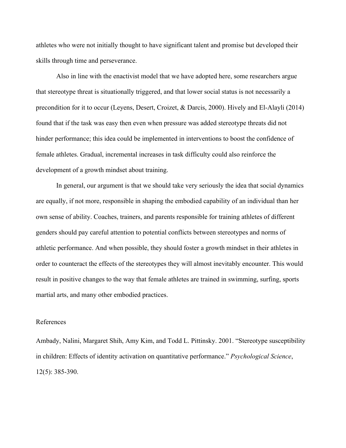athletes who were not initially thought to have significant talent and promise but developed their skills through time and perseverance.

Also in line with the enactivist model that we have adopted here, some researchers argue that stereotype threat is situationally triggered, and that lower social status is not necessarily a precondition for it to occur (Leyens, Desert, Croizet, & Darcis, 2000). Hively and El-Alayli (2014) found that if the task was easy then even when pressure was added stereotype threats did not hinder performance; this idea could be implemented in interventions to boost the confidence of female athletes. Gradual, incremental increases in task difficulty could also reinforce the development of a growth mindset about training.

In general, our argument is that we should take very seriously the idea that social dynamics are equally, if not more, responsible in shaping the embodied capability of an individual than her own sense of ability. Coaches, trainers, and parents responsible for training athletes of different genders should pay careful attention to potential conflicts between stereotypes and norms of athletic performance. And when possible, they should foster a growth mindset in their athletes in order to counteract the effects of the stereotypes they will almost inevitably encounter. This would result in positive changes to the way that female athletes are trained in swimming, surfing, sports martial arts, and many other embodied practices.

#### References

Ambady, Nalini, Margaret Shih, Amy Kim, and Todd L. Pittinsky. 2001. "Stereotype susceptibility in children: Effects of identity activation on quantitative performance." *Psychological Science*, 12(5): 385-390.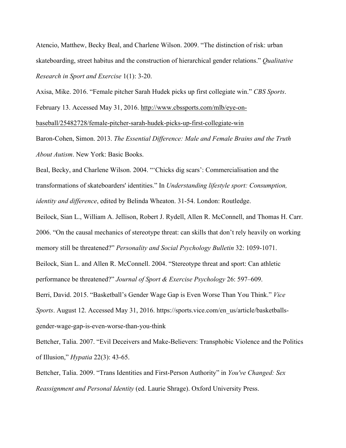Atencio, Matthew, Becky Beal, and Charlene Wilson. 2009. "The distinction of risk: urban skateboarding, street habitus and the construction of hierarchical gender relations." *Qualitative Research in Sport and Exercise* 1(1): 3-20.

Axisa, Mike. 2016. "Female pitcher Sarah Hudek picks up first collegiate win." *CBS Sports*. February 13. Accessed May 31, 2016. http://www.cbssports.com/mlb/eye-on-

baseball/25482728/female-pitcher-sarah-hudek-picks-up-first-collegiate-win

Baron-Cohen, Simon. 2013. *The Essential Difference: Male and Female Brains and the Truth About Autism*. New York: Basic Books.

Beal, Becky, and Charlene Wilson. 2004. "'Chicks dig scars': Commercialisation and the transformations of skateboarders' identities." In *Understanding lifestyle sport: Consumption, identity and difference*, edited by Belinda Wheaton. 31-54. London: Routledge.

Beilock, Sian L., William A. Jellison, Robert J. Rydell, Allen R. McConnell, and Thomas H. Carr. 2006. "On the causal mechanics of stereotype threat: can skills that don't rely heavily on working memory still be threatened?" *Personality and Social Psychology Bulletin* 32: 1059-1071.

Beilock, Sian L. and Allen R. McConnell. 2004. "Stereotype threat and sport: Can athletic performance be threatened?" *Journal of Sport & Exercise Psychology* 26: 597–609.

Berri, David. 2015. "Basketball's Gender Wage Gap is Even Worse Than You Think." *Vice Sports*. August 12. Accessed May 31, 2016. https://sports.vice.com/en\_us/article/basketballsgender-wage-gap-is-even-worse-than-you-think

Bettcher, Talia. 2007. "Evil Deceivers and Make-Believers: Transphobic Violence and the Politics of Illusion," *Hypatia* 22(3): 43-65.

Bettcher, Talia. 2009. "Trans Identities and First-Person Authority" in *You've Changed: Sex Reassignment and Personal Identity* (ed. Laurie Shrage). Oxford University Press.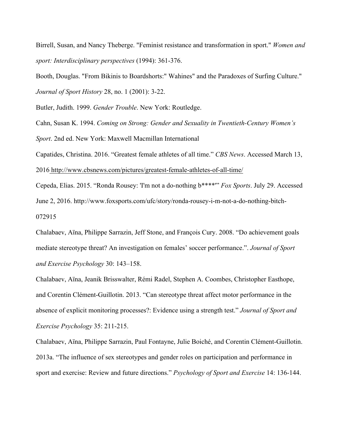Birrell, Susan, and Nancy Theberge. "Feminist resistance and transformation in sport." *Women and sport: Interdisciplinary perspectives* (1994): 361-376.

Booth, Douglas. "From Bikinis to Boardshorts:" Wahines" and the Paradoxes of Surfing Culture." *Journal of Sport History* 28, no. 1 (2001): 3-22.

Butler, Judith. 1999. *Gender Trouble*. New York: Routledge.

Cahn, Susan K. 1994. *Coming on Strong: Gender and Sexuality in Twentieth-Century Women's Sport*. 2nd ed. New York: Maxwell Macmillan International

Capatides, Christina. 2016. "Greatest female athletes of all time." *CBS News*. Accessed March 13,

2016 http://www.cbsnews.com/pictures/greatest-female-athletes-of-all-time/

Cepeda, Elias. 2015. "Ronda Rousey: 'I'm not a do-nothing b\*\*\*\*'" *Fox Sports*. July 29. Accessed June 2, 2016. http://www.foxsports.com/ufc/story/ronda-rousey-i-m-not-a-do-nothing-bitch-072915

Chalabaev, Aïna, Philippe Sarrazin, Jeff Stone, and François Cury. 2008. "Do achievement goals mediate stereotype threat? An investigation on females' soccer performance.". *Journal of Sport and Exercise Psychology* 30: 143–158.

Chalabaev, Aïna, Jeanik Brisswalter, Rémi Radel, Stephen A. Coombes, Christopher Easthope, and Corentin Clément-Guillotin. 2013. "Can stereotype threat affect motor performance in the absence of explicit monitoring processes?: Evidence using a strength test." *Journal of Sport and Exercise Psychology* 35: 211-215.

Chalabaev, Aïna, Philippe Sarrazin, Paul Fontayne, Julie Boiché, and Corentin Clément-Guillotin. 2013a. "The influence of sex stereotypes and gender roles on participation and performance in sport and exercise: Review and future directions." *Psychology of Sport and Exercise* 14: 136-144.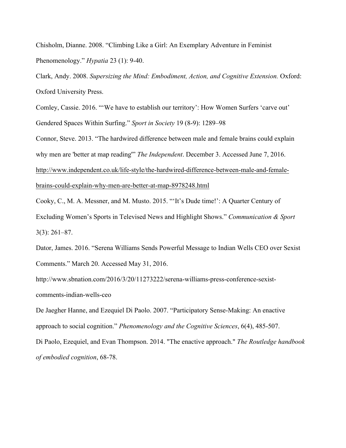Chisholm, Dianne. 2008. "Climbing Like a Girl: An Exemplary Adventure in Feminist Phenomenology." *Hypatia* 23 (1): 9-40.

Clark, Andy. 2008. *Supersizing the Mind: Embodiment, Action, and Cognitive Extension.* Oxford: Oxford University Press.

Comley, Cassie. 2016. "'We have to establish our territory': How Women Surfers 'carve out' Gendered Spaces Within Surfing." *Sport in Society* 19 (8-9): 1289–98

Connor, Steve. 2013. "The hardwired difference between male and female brains could explain why men are 'better at map reading'" *The Independent*. December 3. Accessed June 7, 2016. http://www.independent.co.uk/life-style/the-hardwired-difference-between-male-and-female-

brains-could-explain-why-men-are-better-at-map-8978248.html

Cooky, C., M. A. Messner, and M. Musto. 2015. "'It's Dude time!': A Quarter Century of Excluding Women's Sports in Televised News and Highlight Shows." *Communication & Sport* 3(3): 261–87.

Dator, James. 2016. "Serena Williams Sends Powerful Message to Indian Wells CEO over Sexist Comments." March 20. Accessed May 31, 2016.

http://www.sbnation.com/2016/3/20/11273222/serena-williams-press-conference-sexistcomments-indian-wells-ceo

De Jaegher Hanne, and Ezequiel Di Paolo. 2007. "Participatory Sense-Making: An enactive approach to social cognition." *Phenomenology and the Cognitive Sciences*, 6(4), 485-507.

Di Paolo, Ezequiel, and Evan Thompson. 2014. "The enactive approach." *The Routledge handbook of embodied cognition*, 68-78.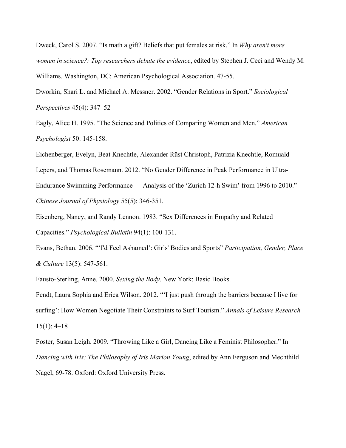Dweck, Carol S. 2007. "Is math a gift? Beliefs that put females at risk." In *Why aren't more women in science?: Top researchers debate the evidence*, edited by Stephen J. Ceci and Wendy M. Williams. Washington, DC: American Psychological Association. 47-55.

Dworkin, Shari L. and Michael A. Messner. 2002. "Gender Relations in Sport." *Sociological Perspectives* 45(4): 347–52

Eagly, Alice H. 1995. "The Science and Politics of Comparing Women and Men." *American Psychologist* 50: 145-158.

Eichenberger, Evelyn, Beat Knechtle, Alexander Rüst Christoph, Patrizia Knechtle, Romuald Lepers, and Thomas Rosemann. 2012. "No Gender Difference in Peak Performance in Ultra-Endurance Swimming Performance — Analysis of the 'Zurich 12-h Swim' from 1996 to 2010." *Chinese Journal of Physiology* 55(5): 346-351.

Eisenberg, Nancy, and Randy Lennon. 1983. "Sex Differences in Empathy and Related Capacities." *Psychological Bulletin* 94(1): 100-131.

Evans, Bethan. 2006. "'I'd Feel Ashamed': Girls' Bodies and Sports" *Participation, Gender, Place & Culture* 13(5): 547-561.

Fausto-Sterling, Anne. 2000. *Sexing the Body*. New York: Basic Books.

Fendt, Laura Sophia and Erica Wilson. 2012. "'I just push through the barriers because I live for surfing': How Women Negotiate Their Constraints to Surf Tourism." *Annals of Leisure Research*  $15(1): 4-18$ 

Foster, Susan Leigh. 2009. "Throwing Like a Girl, Dancing Like a Feminist Philosopher." In *Dancing with Iris: The Philosophy of Iris Marion Young*, edited by Ann Ferguson and Mechthild Nagel, 69-78. Oxford: Oxford University Press.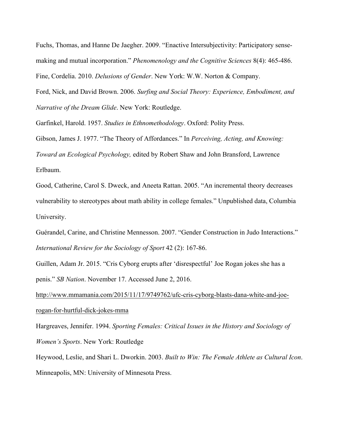Fuchs, Thomas, and Hanne De Jaegher. 2009. "Enactive Intersubjectivity: Participatory sensemaking and mutual incorporation." *Phenomenology and the Cognitive Sciences* 8(4): 465-486.

Fine, Cordelia. 2010. *Delusions of Gender*. New York: W.W. Norton & Company.

Ford, Nick, and David Brown. 2006. *Surfing and Social Theory: Experience, Embodiment, and Narrative of the Dream Glide*. New York: Routledge.

Garfinkel, Harold. 1957. *Studies in Ethnomethodology*. Oxford: Polity Press.

Gibson, James J. 1977. "The Theory of Affordances." In *Perceiving, Acting, and Knowing: Toward an Ecological Psychology,* edited by Robert Shaw and John Bransford, Lawrence Erlbaum.

Good, Catherine, Carol S. Dweck, and Aneeta Rattan. 2005. "An incremental theory decreases vulnerability to stereotypes about math ability in college females." Unpublished data, Columbia University.

Guérandel, Carine, and Christine Mennesson. 2007. "Gender Construction in Judo Interactions." *International Review for the Sociology of Sport* 42 (2): 167-86.

Guillen, Adam Jr. 2015. "Cris Cyborg erupts after 'disrespectful' Joe Rogan jokes she has a penis." *SB Nation*. November 17. Accessed June 2, 2016.

http://www.mmamania.com/2015/11/17/9749762/ufc-cris-cyborg-blasts-dana-white-and-joerogan-for-hurtful-dick-jokes-mma

Hargreaves, Jennifer. 1994. *Sporting Females: Critical Issues in the History and Sociology of Women's Sports*. New York: Routledge

Heywood, Leslie, and Shari L. Dworkin. 2003. *Built to Win: The Female Athlete as Cultural Icon*. Minneapolis, MN: University of Minnesota Press.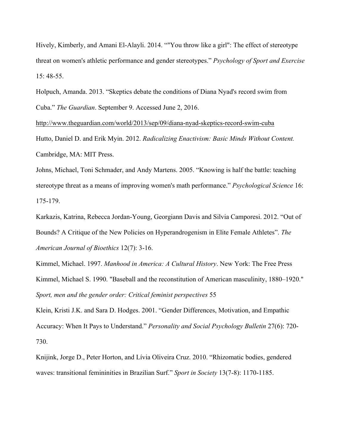Hively, Kimberly, and Amani El-Alayli. 2014. ""You throw like a girl": The effect of stereotype threat on women's athletic performance and gender stereotypes." *Psychology of Sport and Exercise* 15: 48-55.

Holpuch, Amanda. 2013. "Skeptics debate the conditions of Diana Nyad's record swim from Cuba." *The Guardian*. September 9. Accessed June 2, 2016.

http://www.theguardian.com/world/2013/sep/09/diana-nyad-skeptics-record-swim-cuba Hutto, Daniel D. and Erik Myin. 2012. *Radicalizing Enactivism: Basic Minds Without Content.*  Cambridge, MA: MIT Press.

Johns, Michael, Toni Schmader, and Andy Martens. 2005. "Knowing is half the battle: teaching stereotype threat as a means of improving women's math performance." *Psychological Science* 16: 175-179.

Karkazis, Katrina, Rebecca Jordan-Young, Georgiann Davis and Silvia Camporesi. 2012. "Out of Bounds? A Critique of the New Policies on Hyperandrogenism in Elite Female Athletes". *The American Journal of Bioethics* 12(7): 3-16.

Kimmel, Michael. 1997. *Manhood in America: A Cultural History*. New York: The Free Press Kimmel, Michael S. 1990. "Baseball and the reconstitution of American masculinity, 1880–1920." *Sport, men and the gender order: Critical feminist perspectives* 55

Klein, Kristi J.K. and Sara D. Hodges. 2001. "Gender Differences, Motivation, and Empathic Accuracy: When It Pays to Understand." *Personality and Social Psychology Bulletin* 27(6): 720- 730.

Knijink, Jorge D., Peter Horton, and Lívia Oliveira Cruz. 2010. "Rhizomatic bodies, gendered waves: transitional femininities in Brazilian Surf." *Sport in Society* 13(7-8): 1170-1185.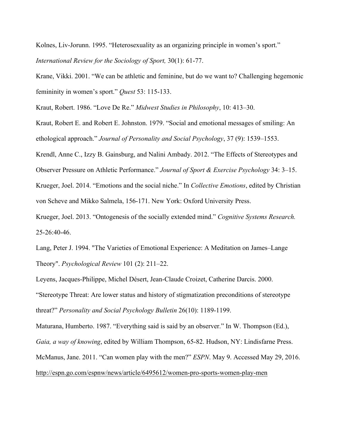Kolnes, Liv-Jorunn. 1995. "Heterosexuality as an organizing principle in women's sport." *International Review for the Sociology of Sport,* 30(1): 61-77.

Krane, Vikki. 2001. "We can be athletic and feminine, but do we want to? Challenging hegemonic femininity in women's sport." *Quest* 53: 115-133.

Kraut, Robert. 1986. "Love De Re." *Midwest Studies in Philosophy*, 10: 413–30.

Kraut, Robert E. and Robert E. Johnston. 1979. "Social and emotional messages of smiling: An ethological approach." *Journal of Personality and Social Psychology*, 37 (9): 1539–1553.

Krendl, Anne C., Izzy B. Gainsburg, and Nalini Ambady. 2012. "The Effects of Stereotypes and

Observer Pressure on Athletic Performance." *Journal of Sport & Exercise Psychology* 34: 3–15.

Krueger, Joel. 2014. "Emotions and the social niche." In *Collective Emotions*, edited by Christian von Scheve and Mikko Salmela, 156-171. New York: Oxford University Press.

Krueger, Joel. 2013. "Ontogenesis of the socially extended mind." *Cognitive Systems Research.*  25-26:40-46.

Lang, Peter J. 1994. "The Varieties of Emotional Experience: A Meditation on James–Lange Theory". *Psychological Review* 101 (2): 211–22.

Leyens, Jacques-Philippe, Michel Désert, Jean-Claude Croizet, Catherine Darcis. 2000. "Stereotype Threat: Are lower status and history of stigmatization preconditions of stereotype threat?" *Personality and Social Psychology Bulletin* 26(10): 1189-1199.

Maturana, Humberto. 1987. "Everything said is said by an observer." In W. Thompson (Ed.), *Gaia, a way of knowing*, edited by William Thompson, 65-82. Hudson, NY: Lindisfarne Press. McManus, Jane. 2011. "Can women play with the men?" *ESPN*. May 9. Accessed May 29, 2016. http://espn.go.com/espnw/news/article/6495612/women-pro-sports-women-play-men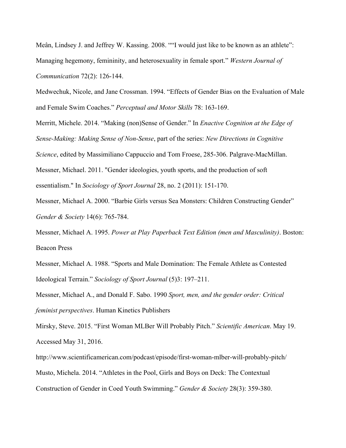Meân, Lindsey J. and Jeffrey W. Kassing. 2008. ""I would just like to be known as an athlete": Managing hegemony, femininity, and heterosexuality in female sport." *Western Journal of Communication* 72(2): 126-144.

Medwechuk, Nicole, and Jane Crossman. 1994. "Effects of Gender Bias on the Evaluation of Male and Female Swim Coaches." *Perceptual and Motor Skills* 78: 163-169.

Merritt, Michele. 2014. "Making (non)Sense of Gender." In *Enactive Cognition at the Edge of Sense-Making: Making Sense of Non-Sense*, part of the series: *New Directions in Cognitive Science*, edited by Massimiliano Cappuccio and Tom Froese, 285-306. Palgrave-MacMillan. Messner, Michael. 2011. "Gender ideologies, youth sports, and the production of soft essentialism." In *Sociology of Sport Journal* 28, no. 2 (2011): 151-170.

Messner, Michael A. 2000. "Barbie Girls versus Sea Monsters: Children Constructing Gender" *Gender & Society* 14(6): 765-784.

Messner, Michael A. 1995. *Power at Play Paperback Text Edition (men and Masculinity)*. Boston: Beacon Press

Messner, Michael A. 1988. "Sports and Male Domination: The Female Athlete as Contested Ideological Terrain." *Sociology of Sport Journal* (5)3: 197–211.

Messner, Michael A., and Donald F. Sabo. 1990 *Sport, men, and the gender order: Critical feminist perspectives*. Human Kinetics Publishers

Mirsky, Steve. 2015. "First Woman MLBer Will Probably Pitch." *Scientific American*. May 19. Accessed May 31, 2016.

http://www.scientificamerican.com/podcast/episode/first-woman-mlber-will-probably-pitch/ Musto, Michela. 2014. "Athletes in the Pool, Girls and Boys on Deck: The Contextual Construction of Gender in Coed Youth Swimming." *Gender & Society* 28(3): 359-380.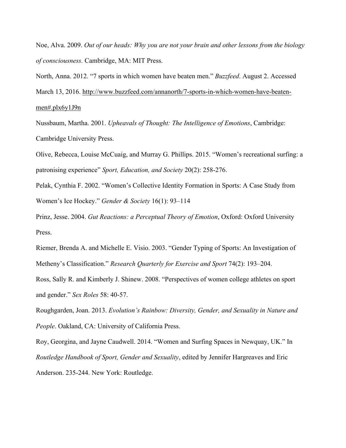Noe, Alva. 2009. *Out of our heads: Why you are not your brain and other lessons from the biology of consciousness.* Cambridge, MA: MIT Press.

North, Anna. 2012. "7 sports in which women have beaten men." *Buzzfeed*. August 2. Accessed March 13, 2016. http://www.buzzfeed.com/annanorth/7-sports-in-which-women-have-beatenmen#.plx6y1J9n

Nussbaum, Martha. 2001. *Upheavals of Thought: The Intelligence of Emotions*, Cambridge: Cambridge University Press.

Olive, Rebecca, Louise McCuaig, and Murray G. Phillips. 2015. "Women's recreational surfing: a patronising experience" *Sport, Education, and Society* 20(2): 258-276.

Pelak, Cynthia F. 2002. "Women's Collective Identity Formation in Sports: A Case Study from Women's Ice Hockey." *Gender & Society* 16(1): 93–114

Prinz, Jesse. 2004. *Gut Reactions: a Perceptual Theory of Emotion*, Oxford: Oxford University Press.

Riemer, Brenda A. and Michelle E. Visio. 2003. "Gender Typing of Sports: An Investigation of Metheny's Classification." *Research Quarterly for Exercise and Sport* 74(2): 193–204.

Ross, Sally R. and Kimberly J. Shinew. 2008. "Perspectives of women college athletes on sport and gender." *Sex Roles* 58: 40-57.

Roughgarden, Joan. 2013. *Evolution's Rainbow: Diversity, Gender, and Sexuality in Nature and People*. Oakland, CA: University of California Press.

Roy, Georgina, and Jayne Caudwell. 2014. "Women and Surfing Spaces in Newquay, UK." In *Routledge Handbook of Sport, Gender and Sexuality*, edited by Jennifer Hargreaves and Eric Anderson. 235-244. New York: Routledge.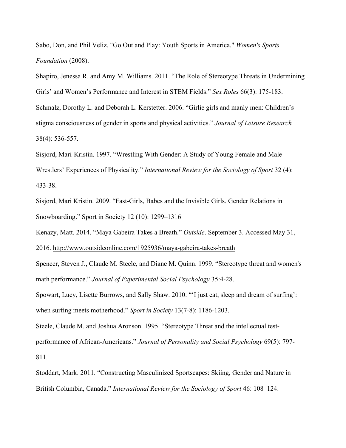Sabo, Don, and Phil Veliz. "Go Out and Play: Youth Sports in America." *Women's Sports Foundation* (2008).

Shapiro, Jenessa R. and Amy M. Williams. 2011. "The Role of Stereotype Threats in Undermining Girls' and Women's Performance and Interest in STEM Fields." *Sex Roles* 66(3): 175-183. Schmalz, Dorothy L. and Deborah L. Kerstetter. 2006. "Girlie girls and manly men: Children's stigma consciousness of gender in sports and physical activities." *Journal of Leisure Research* 38(4): 536-557.

Sisjord, Mari-Kristin. 1997. "Wrestling With Gender: A Study of Young Female and Male Wrestlers' Experiences of Physicality." *International Review for the Sociology of Sport* 32 (4): 433-38.

Sisjord, Mari Kristin. 2009. "Fast-Girls, Babes and the Invisible Girls. Gender Relations in Snowboarding." Sport in Society 12 (10): 1299–1316

Kenazy, Matt. 2014. "Maya Gabeira Takes a Breath." *Outside*. September 3. Accessed May 31, 2016. http://www.outsideonline.com/1925936/maya-gabeira-takes-breath

Spencer, Steven J., Claude M. Steele, and Diane M. Quinn. 1999. "Stereotype threat and women's math performance." *Journal of Experimental Social Psychology* 35:4-28.

Spowart, Lucy, Lisette Burrows, and Sally Shaw. 2010. "'I just eat, sleep and dream of surfing': when surfing meets motherhood." *Sport in Society* 13(7-8): 1186-1203.

Steele, Claude M. and Joshua Aronson. 1995. "Stereotype Threat and the intellectual testperformance of African-Americans." *Journal of Personality and Social Psychology* 69(5): 797- 811.

Stoddart, Mark. 2011. "Constructing Masculinized Sportscapes: Skiing, Gender and Nature in British Columbia, Canada." *International Review for the Sociology of Sport* 46: 108–124.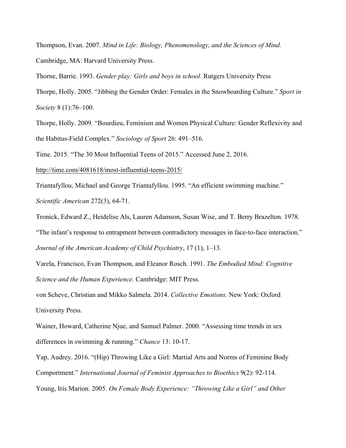Thompson, Evan. 2007. *Mind in Life: Biology, Phenomenology, and the Sciences of Mind.*  Cambridge, MA: Harvard University Press.

Thorne, Barrie. 1993. *Gender play: Girls and boys in school*. Rutgers University Press

Thorpe, Holly. 2005. "Jibbing the Gender Order: Females in the Snowboarding Culture." *Sport in Society* 8 (1):76–100.

Thorpe, Holly. 2009. "Bourdieu, Feminism and Women Physical Culture: Gender Reflexivity and the Habitus-Field Complex." *Sociology of Sport* 26: 491–516.

Time. 2015. "The 30 Most Influential Teens of 2015." Accessed June 2, 2016.

http://time.com/4081618/most-influential-teens-2015/

Triantafyllou, Michael and George Triantafyllou. 1995. "An efficient swimming machine." *Scientific American* 272(3), 64-71.

Tronick, Edward Z., Heidelise Als, Lauren Adamson, Susan Wise, and T. Berry Brazelton. 1978.

"The infant's response to entrapment between contradictory messages in face-to-face interaction."

*Journal of the American Academy of Child Psychiatry*, 17 (1), 1–13.

Varela, Francisco, Evan Thompson, and Eleanor Rosch. 1991. *The Embodied Mind: Cognitive Science and the Human Experience.* Cambridge: MIT Press.

von Scheve, Christian and Mikko Salmela. 2014. *Collective Emotions.* New York: Oxford University Press.

Wainer, Howard, Catherine Njue, and Samuel Palmer. 2000. "Assessing time trends in sex differences in swimming & running." *Chance* 13: 10-17.

Yap, Audrey. 2016. "(Hip) Throwing Like a Girl: Martial Arts and Norms of Feminine Body Comportment." *International Journal of Feminist Approaches to Bioethics* 9(2): 92-114. Young, Iris Marion. 2005. *On Female Body Experience: "Throwing Like a Girl" and Other*